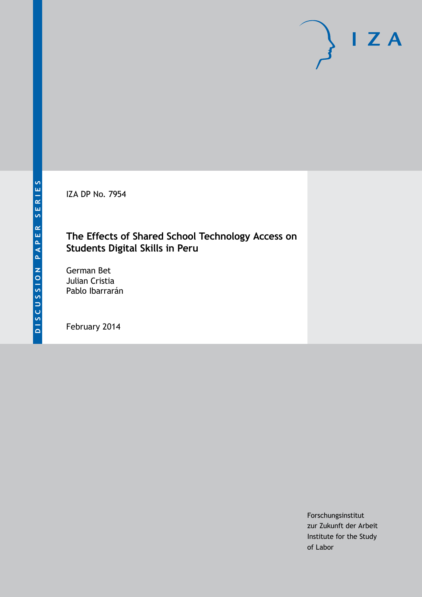IZA DP No. 7954

## **The Effects of Shared School Technology Access on Students Digital Skills in Peru**

German Bet Julian Cristia Pablo Ibarrarán

February 2014

Forschungsinstitut zur Zukunft der Arbeit Institute for the Study of Labor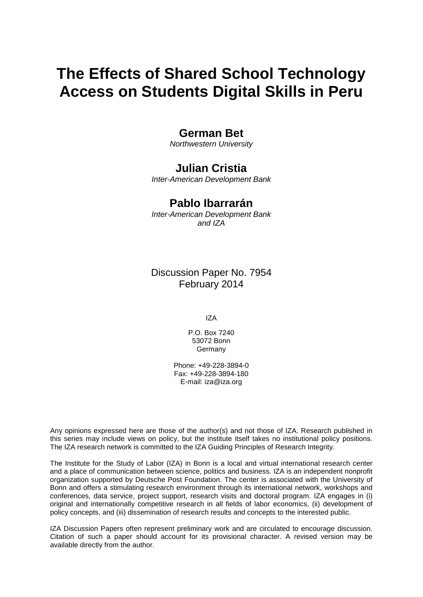# **The Effects of Shared School Technology Access on Students Digital Skills in Peru**

### **German Bet**

*Northwestern University*

## **Julian Cristia**

*Inter-American Development Bank*

### **Pablo Ibarrarán**

*Inter-American Development Bank and IZA*

Discussion Paper No. 7954 February 2014

IZA

P.O. Box 7240 53072 Bonn Germany

Phone: +49-228-3894-0 Fax: +49-228-3894-180 E-mail: [iza@iza.org](mailto:iza@iza.org)

Any opinions expressed here are those of the author(s) and not those of IZA. Research published in this series may include views on policy, but the institute itself takes no institutional policy positions. The IZA research network is committed to the IZA Guiding Principles of Research Integrity.

The Institute for the Study of Labor (IZA) in Bonn is a local and virtual international research center and a place of communication between science, politics and business. IZA is an independent nonprofit organization supported by Deutsche Post Foundation. The center is associated with the University of Bonn and offers a stimulating research environment through its international network, workshops and conferences, data service, project support, research visits and doctoral program. IZA engages in (i) original and internationally competitive research in all fields of labor economics, (ii) development of policy concepts, and (iii) dissemination of research results and concepts to the interested public.

<span id="page-1-0"></span>IZA Discussion Papers often represent preliminary work and are circulated to encourage discussion. Citation of such a paper should account for its provisional character. A revised version may be available directly from the author.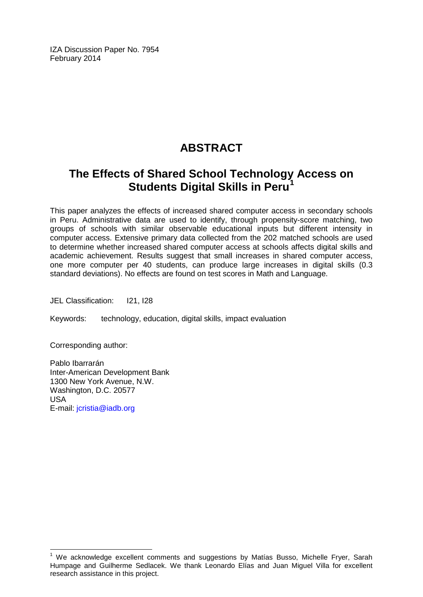IZA Discussion Paper No. 7954 February 2014

## **ABSTRACT**

## **The Effects of Shared School Technology Access on Students Digital Skills in Peru[1](#page-1-0)**

This paper analyzes the effects of increased shared computer access in secondary schools in Peru. Administrative data are used to identify, through propensity-score matching, two groups of schools with similar observable educational inputs but different intensity in computer access. Extensive primary data collected from the 202 matched schools are used to determine whether increased shared computer access at schools affects digital skills and academic achievement. Results suggest that small increases in shared computer access, one more computer per 40 students, can produce large increases in digital skills (0.3 standard deviations). No effects are found on test scores in Math and Language.

JEL Classification: I21, I28

Keywords: technology, education, digital skills, impact evaluation

Corresponding author:

Pablo Ibarrarán Inter-American Development Bank 1300 New York Avenue, N.W. Washington, D.C. 20577 USA E-mail: [jcristia@iadb.org](mailto:jcristia@iadb.org)

 $1$  We acknowledge excellent comments and suggestions by Matías Busso, Michelle Fryer, Sarah Humpage and Guilherme Sedlacek. We thank Leonardo Elías and Juan Miguel Villa for excellent research assistance in this project.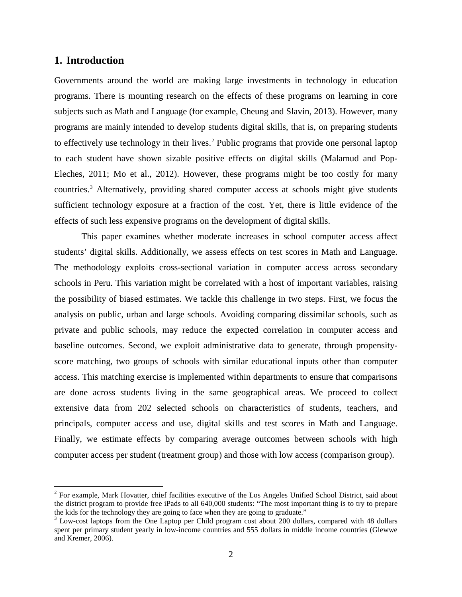#### **1. Introduction**

Governments around the world are making large investments in technology in education programs. There is mounting research on the effects of these programs on learning in core subjects such as Math and Language (for example, Cheung and Slavin, 2013). However, many programs are mainly intended to develop students digital skills, that is, on preparing students to effectively use technology in their lives.<sup>2</sup> Public programs that provide one personal laptop to each student have shown sizable positive effects on digital skills (Malamud and Pop-Eleches, 2011; Mo et al., 2012). However, these programs might be too costly for many countries.[3](#page-3-0) Alternatively, providing shared computer access at schools might give students sufficient technology exposure at a fraction of the cost. Yet, there is little evidence of the effects of such less expensive programs on the development of digital skills.

This paper examines whether moderate increases in school computer access affect students' digital skills. Additionally, we assess effects on test scores in Math and Language. The methodology exploits cross-sectional variation in computer access across secondary schools in Peru. This variation might be correlated with a host of important variables, raising the possibility of biased estimates. We tackle this challenge in two steps. First, we focus the analysis on public, urban and large schools. Avoiding comparing dissimilar schools, such as private and public schools, may reduce the expected correlation in computer access and baseline outcomes. Second, we exploit administrative data to generate, through propensityscore matching, two groups of schools with similar educational inputs other than computer access. This matching exercise is implemented within departments to ensure that comparisons are done across students living in the same geographical areas. We proceed to collect extensive data from 202 selected schools on characteristics of students, teachers, and principals, computer access and use, digital skills and test scores in Math and Language. Finally, we estimate effects by comparing average outcomes between schools with high computer access per student (treatment group) and those with low access (comparison group).

<span id="page-3-1"></span><sup>&</sup>lt;sup>2</sup> For example, Mark Hovatter, chief facilities executive of the Los Angeles Unified School District, said about the district program to provide free iPads to all 640,000 students: "The most important thing is to try to prepare the kids for the technology they are going to face when they are going to graduate."<br><sup>3</sup> Low-cost laptops from the One Laptop per Child program cost about 200 dollars, compared with 48 dollars

<span id="page-3-0"></span>spent per primary student yearly in low-income countries and 555 dollars in middle income countries (Glewwe and Kremer, 2006).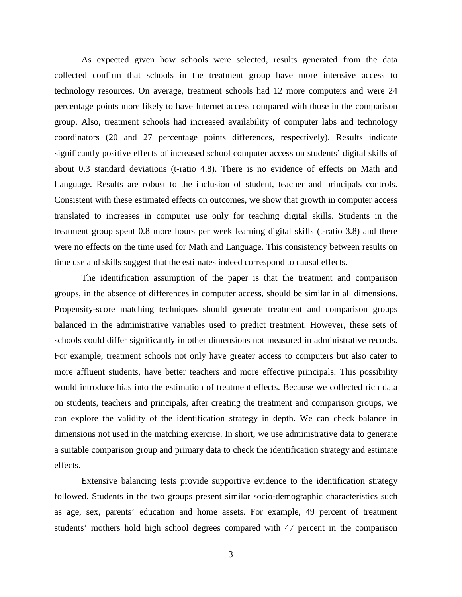As expected given how schools were selected, results generated from the data collected confirm that schools in the treatment group have more intensive access to technology resources. On average, treatment schools had 12 more computers and were 24 percentage points more likely to have Internet access compared with those in the comparison group. Also, treatment schools had increased availability of computer labs and technology coordinators (20 and 27 percentage points differences, respectively). Results indicate significantly positive effects of increased school computer access on students' digital skills of about 0.3 standard deviations (t-ratio 4.8). There is no evidence of effects on Math and Language. Results are robust to the inclusion of student, teacher and principals controls. Consistent with these estimated effects on outcomes, we show that growth in computer access translated to increases in computer use only for teaching digital skills. Students in the treatment group spent 0.8 more hours per week learning digital skills (t-ratio 3.8) and there were no effects on the time used for Math and Language. This consistency between results on time use and skills suggest that the estimates indeed correspond to causal effects.

The identification assumption of the paper is that the treatment and comparison groups, in the absence of differences in computer access, should be similar in all dimensions. Propensity-score matching techniques should generate treatment and comparison groups balanced in the administrative variables used to predict treatment. However, these sets of schools could differ significantly in other dimensions not measured in administrative records. For example, treatment schools not only have greater access to computers but also cater to more affluent students, have better teachers and more effective principals. This possibility would introduce bias into the estimation of treatment effects. Because we collected rich data on students, teachers and principals, after creating the treatment and comparison groups, we can explore the validity of the identification strategy in depth. We can check balance in dimensions not used in the matching exercise. In short, we use administrative data to generate a suitable comparison group and primary data to check the identification strategy and estimate effects.

Extensive balancing tests provide supportive evidence to the identification strategy followed. Students in the two groups present similar socio-demographic characteristics such as age, sex, parents' education and home assets. For example, 49 percent of treatment students' mothers hold high school degrees compared with 47 percent in the comparison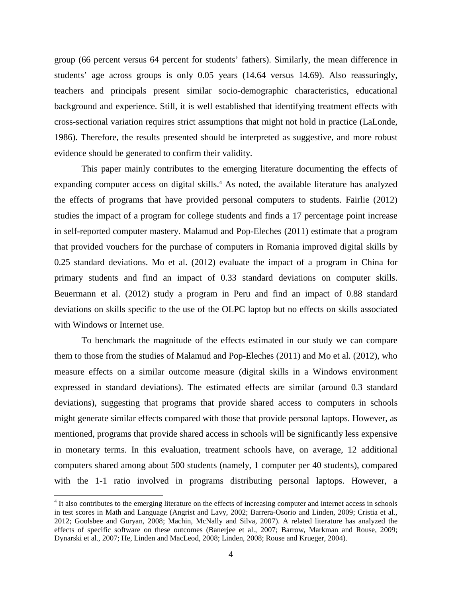group (66 percent versus 64 percent for students' fathers). Similarly, the mean difference in students' age across groups is only 0.05 years (14.64 versus 14.69). Also reassuringly, teachers and principals present similar socio-demographic characteristics, educational background and experience. Still, it is well established that identifying treatment effects with cross-sectional variation requires strict assumptions that might not hold in practice (LaLonde, 1986). Therefore, the results presented should be interpreted as suggestive, and more robust evidence should be generated to confirm their validity.

This paper mainly contributes to the emerging literature documenting the effects of expanding computer access on digital skills.<sup>[4](#page-3-1)</sup> As noted, the available literature has analyzed the effects of programs that have provided personal computers to students. Fairlie (2012) studies the impact of a program for college students and finds a 17 percentage point increase in self-reported computer mastery. Malamud and Pop-Eleches (2011) estimate that a program that provided vouchers for the purchase of computers in Romania improved digital skills by 0.25 standard deviations. Mo et al. (2012) evaluate the impact of a program in China for primary students and find an impact of 0.33 standard deviations on computer skills. Beuermann et al. (2012) study a program in Peru and find an impact of 0.88 standard deviations on skills specific to the use of the OLPC laptop but no effects on skills associated with Windows or Internet use.

To benchmark the magnitude of the effects estimated in our study we can compare them to those from the studies of Malamud and Pop-Eleches (2011) and Mo et al. (2012), who measure effects on a similar outcome measure (digital skills in a Windows environment expressed in standard deviations). The estimated effects are similar (around 0.3 standard deviations), suggesting that programs that provide shared access to computers in schools might generate similar effects compared with those that provide personal laptops. However, as mentioned, programs that provide shared access in schools will be significantly less expensive in monetary terms. In this evaluation, treatment schools have, on average, 12 additional computers shared among about 500 students (namely, 1 computer per 40 students), compared with the 1-1 ratio involved in programs distributing personal laptops. However, a

<span id="page-5-0"></span><sup>&</sup>lt;sup>4</sup> It also contributes to the emerging literature on the effects of increasing computer and internet access in schools in test scores in Math and Language (Angrist and Lavy, 2002; Barrera-Osorio and Linden, 2009; Cristia et al., 2012; Goolsbee and Guryan, 2008; Machin, McNally and Silva, 2007). A related literature has analyzed the effects of specific software on these outcomes (Banerjee et al., 2007; Barrow, Markman and Rouse, 2009; Dynarski et al., 2007; He, Linden and MacLeod, 2008; Linden, 2008; Rouse and Krueger, 2004).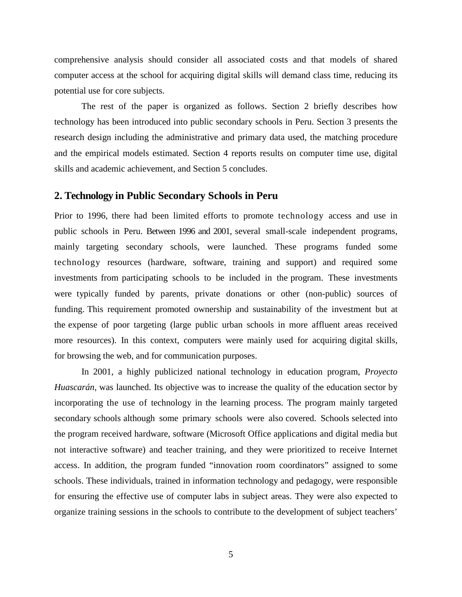comprehensive analysis should consider all associated costs and that models of shared computer access at the school for acquiring digital skills will demand class time, reducing its potential use for core subjects.

The rest of the paper is organized as follows. Section 2 briefly describes how technology has been introduced into public secondary schools in Peru. Section 3 presents the research design including the administrative and primary data used, the matching procedure and the empirical models estimated. Section 4 reports results on computer time use, digital skills and academic achievement, and Section 5 concludes.

#### **2. Technology in Public Secondary Schools in Peru**

Prior to 1996, there had been limited efforts to promote technology access and use in public schools in Peru. Between 1996 and 2001, several small-scale independent programs, mainly targeting secondary schools, were launched. These programs funded some technology resources (hardware, software, training and support) and required some investments from participating schools to be included in the program. These investments were typically funded by parents, private donations or other (non-public) sources of funding. This requirement promoted ownership and sustainability of the investment but at the expense of poor targeting (large public urban schools in more affluent areas received more resources). In this context, computers were mainly used for acquiring digital skills, for browsing the web, and for communication purposes.

In 2001, a highly publicized national technology in education program, *Proyecto Huascarán*, was launched. Its objective was to increase the quality of the education sector by incorporating the use of technology in the learning process. The program mainly targeted secondary schools although some primary schools were also covered. Schools selected into the program received hardware, software (Microsoft Office applications and digital media but not interactive software) and teacher training, and they were prioritized to receive Internet access. In addition, the program funded "innovation room coordinators" assigned to some schools. These individuals, trained in information technology and pedagogy, were responsible for ensuring the effective use of computer labs in subject areas. They were also expected to organize training sessions in the schools to contribute to the development of subject teachers'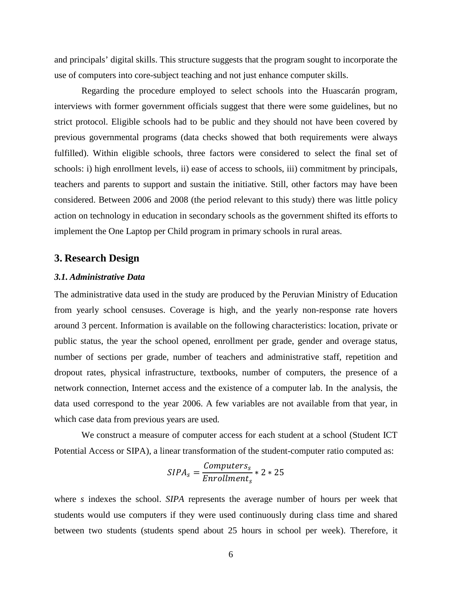and principals' digital skills. This structure suggests that the program sought to incorporate the use of computers into core-subject teaching and not just enhance computer skills.

Regarding the procedure employed to select schools into the Huascarán program, interviews with former government officials suggest that there were some guidelines, but no strict protocol. Eligible schools had to be public and they should not have been covered by previous governmental programs (data checks showed that both requirements were always fulfilled). Within eligible schools, three factors were considered to select the final set of schools: i) high enrollment levels, ii) ease of access to schools, iii) commitment by principals, teachers and parents to support and sustain the initiative. Still, other factors may have been considered. Between 2006 and 2008 (the period relevant to this study) there was little policy action on technology in education in secondary schools as the government shifted its efforts to implement the One Laptop per Child program in primary schools in rural areas.

#### **3. Research Design**

#### *3.1. Administrative Data*

The administrative data used in the study are produced by the Peruvian Ministry of Education from yearly school censuses. Coverage is high, and the yearly non-response rate hovers around 3 percent. Information is available on the following characteristics: location, private or public status, the year the school opened, enrollment per grade, gender and overage status, number of sections per grade, number of teachers and administrative staff, repetition and dropout rates, physical infrastructure, textbooks, number of computers, the presence of a network connection, Internet access and the existence of a computer lab. In the analysis, the data used correspond to the year 2006. A few variables are not available from that year, in which case data from previous years are used.

We construct a measure of computer access for each student at a school (Student ICT Potential Access or SIPA), a linear transformation of the student-computer ratio computed as:

$$
SIPA_s = \frac{Computers_s}{Enrollment_s} * 2 * 25
$$

where *s* indexes the school. *SIPA* represents the average number of hours per week that students would use computers if they were used continuously during class time and shared between two students (students spend about 25 hours in school per week). Therefore, it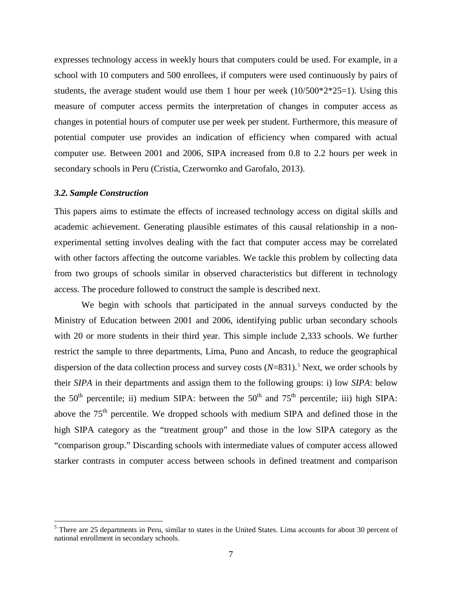expresses technology access in weekly hours that computers could be used. For example, in a school with 10 computers and 500 enrollees, if computers were used continuously by pairs of students, the average student would use them 1 hour per week  $(10/500*2*25=1)$ . Using this measure of computer access permits the interpretation of changes in computer access as changes in potential hours of computer use per week per student. Furthermore, this measure of potential computer use provides an indication of efficiency when compared with actual computer use. Between 2001 and 2006, SIPA increased from 0.8 to 2.2 hours per week in secondary schools in Peru (Cristia, Czerwornko and Garofalo, 2013).

#### *3.2. Sample Construction*

This papers aims to estimate the effects of increased technology access on digital skills and academic achievement. Generating plausible estimates of this causal relationship in a nonexperimental setting involves dealing with the fact that computer access may be correlated with other factors affecting the outcome variables. We tackle this problem by collecting data from two groups of schools similar in observed characteristics but different in technology access. The procedure followed to construct the sample is described next.

We begin with schools that participated in the annual surveys conducted by the Ministry of Education between 2001 and 2006, identifying public urban secondary schools with 20 or more students in their third year. This simple include 2,333 schools. We further restrict the sample to three departments, Lima, Puno and Ancash, to reduce the geographical dispersion of the data collection process and survey costs (*N*=831). [5](#page-5-0) Next, we order schools by their *SIPA* in their departments and assign them to the following groups: i) low *SIPA*: below the  $50<sup>th</sup>$  percentile; ii) medium SIPA: between the  $50<sup>th</sup>$  and  $75<sup>th</sup>$  percentile; iii) high SIPA: above the 75<sup>th</sup> percentile. We dropped schools with medium SIPA and defined those in the high SIPA category as the "treatment group" and those in the low SIPA category as the "comparison group." Discarding schools with intermediate values of computer access allowed starker contrasts in computer access between schools in defined treatment and comparison

<span id="page-8-0"></span><sup>&</sup>lt;sup>5</sup> There are 25 departments in Peru, similar to states in the United States. Lima accounts for about 30 percent of national enrollment in secondary schools.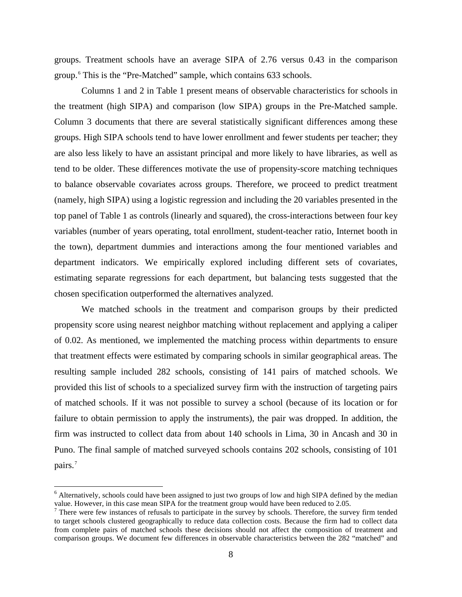groups. Treatment schools have an average SIPA of 2.76 versus 0.43 in the comparison group.[6](#page-8-0) This is the "Pre-Matched" sample, which contains 633 schools.

Columns 1 and 2 in Table 1 present means of observable characteristics for schools in the treatment (high SIPA) and comparison (low SIPA) groups in the Pre-Matched sample. Column 3 documents that there are several statistically significant differences among these groups. High SIPA schools tend to have lower enrollment and fewer students per teacher; they are also less likely to have an assistant principal and more likely to have libraries, as well as tend to be older. These differences motivate the use of propensity-score matching techniques to balance observable covariates across groups. Therefore, we proceed to predict treatment (namely, high SIPA) using a logistic regression and including the 20 variables presented in the top panel of Table 1 as controls (linearly and squared), the cross-interactions between four key variables (number of years operating, total enrollment, student-teacher ratio, Internet booth in the town), department dummies and interactions among the four mentioned variables and department indicators. We empirically explored including different sets of covariates, estimating separate regressions for each department, but balancing tests suggested that the chosen specification outperformed the alternatives analyzed.

We matched schools in the treatment and comparison groups by their predicted propensity score using nearest neighbor matching without replacement and applying a caliper of 0.02. As mentioned, we implemented the matching process within departments to ensure that treatment effects were estimated by comparing schools in similar geographical areas. The resulting sample included 282 schools, consisting of 141 pairs of matched schools. We provided this list of schools to a specialized survey firm with the instruction of targeting pairs of matched schools. If it was not possible to survey a school (because of its location or for failure to obtain permission to apply the instruments), the pair was dropped. In addition, the firm was instructed to collect data from about 140 schools in Lima, 30 in Ancash and 30 in Puno. The final sample of matched surveyed schools contains 202 schools, consisting of 101 pairs.<sup>[7](#page-9-0)</sup>

<sup>&</sup>lt;sup>6</sup> Alternatively, schools could have been assigned to just two groups of low and high SIPA defined by the median value. However, in this case mean SIPA for the treatment group would have been reduced to 2.05.

<span id="page-9-1"></span><span id="page-9-0"></span> $<sup>7</sup>$  There were few instances of refusals to participate in the survey by schools. Therefore, the survey firm tended</sup> to target schools clustered geographically to reduce data collection costs. Because the firm had to collect data from complete pairs of matched schools these decisions should not affect the composition of treatment and comparison groups. We document few differences in observable characteristics between the 282 "matched" and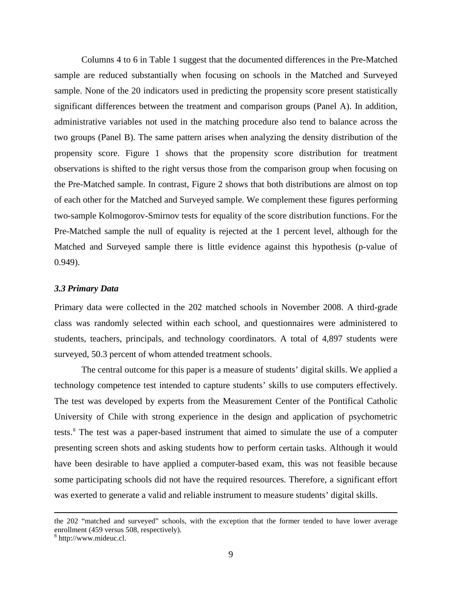Columns 4 to 6 in Table 1 suggest that the documented differences in the Pre-Matched sample are reduced substantially when focusing on schools in the Matched and Surveyed sample. None of the 20 indicators used in predicting the propensity score present statistically significant differences between the treatment and comparison groups (Panel A). In addition, administrative variables not used in the matching procedure also tend to balance across the two groups (Panel B). The same pattern arises when analyzing the density distribution of the propensity score. Figure 1 shows that the propensity score distribution for treatment observations is shifted to the right versus those from the comparison group when focusing on the Pre-Matched sample. In contrast, Figure 2 shows that both distributions are almost on top of each other for the Matched and Surveyed sample. We complement these figures performing two-sample Kolmogorov-Smirnov tests for equality of the score distribution functions. For the Pre-Matched sample the null of equality is rejected at the 1 percent level, although for the Matched and Surveyed sample there is little evidence against this hypothesis (p-value of 0.949).

#### *3.3 Primary Data*

Primary data were collected in the 202 matched schools in November 2008. A third-grade class was randomly selected within each school, and questionnaires were administered to students, teachers, principals, and technology coordinators. A total of 4,897 students were surveyed, 50.3 percent of whom attended treatment schools.

The central outcome for this paper is a measure of students' digital skills. We applied a technology competence test intended to capture students' skills to use computers effectively. The test was developed by experts from the Measurement Center of the Pontifical Catholic University of Chile with strong experience in the design and application of psychometric tests.[8](#page-9-1) The test was a paper-based instrument that aimed to simulate the use of a computer presenting screen shots and asking students how to perform certain tasks. Although it would have been desirable to have applied a computer-based exam, this was not feasible because some participating schools did not have the required resources. Therefore, a significant effort was exerted to generate a valid and reliable instrument to measure students' digital skills.

 $\overline{\phantom{a}}$ 

<span id="page-10-0"></span>the 202 "matched and surveyed" schools, with the exception that the former tended to have lower average enrollment (459 versus 508, respectively).<br><sup>8</sup> http://www.mideuc.cl.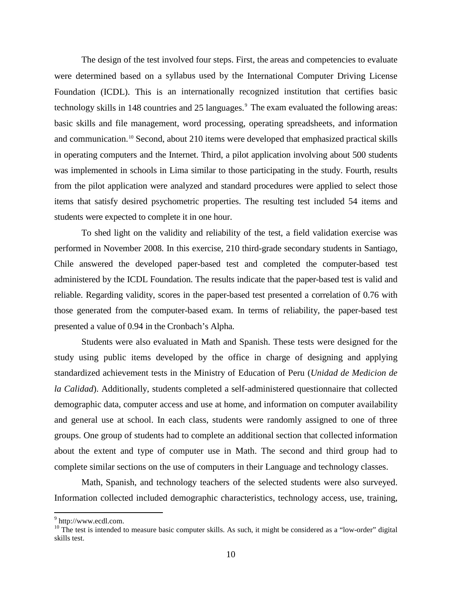The design of the test involved four steps. First, the areas and competencies to evaluate were determined based on a syllabus used by the International Computer Driving License Foundation (ICDL). This is an internationally recognized institution that certifies basic technology skills in 148 countries and 25 languages. [9](#page-10-0) The exam evaluated the following areas: basic skills and file management, word processing, operating spreadsheets, and information and communication.<sup>[10](#page-11-0)</sup> Second, about 210 items were developed that emphasized practical skills in operating computers and the Internet. Third, a pilot application involving about 500 students was implemented in schools in Lima similar to those participating in the study. Fourth, results from the pilot application were analyzed and standard procedures were applied to select those items that satisfy desired psychometric properties. The resulting test included 54 items and students were expected to complete it in one hour.

To shed light on the validity and reliability of the test, a field validation exercise was performed in November 2008. In this exercise, 210 third-grade secondary students in Santiago, Chile answered the developed paper-based test and completed the computer-based test administered by the ICDL Foundation. The results indicate that the paper-based test is valid and reliable. Regarding validity, scores in the paper-based test presented a correlation of 0.76 with those generated from the computer-based exam. In terms of reliability, the paper-based test presented a value of 0.94 in the Cronbach's Alpha.

Students were also evaluated in Math and Spanish. These tests were designed for the study using public items developed by the office in charge of designing and applying standardized achievement tests in the Ministry of Education of Peru (*Unidad de Medicion de la Calidad*). Additionally, students completed a self-administered questionnaire that collected demographic data, computer access and use at home, and information on computer availability and general use at school. In each class, students were randomly assigned to one of three groups. One group of students had to complete an additional section that collected information about the extent and type of computer use in Math. The second and third group had to complete similar sections on the use of computers in their Language and technology classes.

Math, Spanish, and technology teachers of the selected students were also surveyed. Information collected included demographic characteristics, technology access, use, training,

<span id="page-11-0"></span>

<span id="page-11-1"></span> $9$  [http://www.ecdl.com.](http://www.ecdl.com/)<br><sup>10</sup> The test is intended to measure basic computer skills. As such, it might be considered as a "low-order" digital skills test.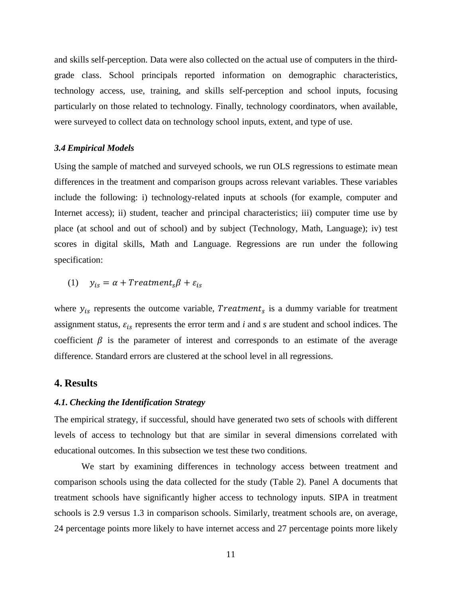and skills self-perception. Data were also collected on the actual use of computers in the thirdgrade class. School principals reported information on demographic characteristics, technology access, use, training, and skills self-perception and school inputs, focusing particularly on those related to technology. Finally, technology coordinators, when available, were surveyed to collect data on technology school inputs, extent, and type of use.

#### *3.4 Empirical Models*

Using the sample of matched and surveyed schools, we run OLS regressions to estimate mean differences in the treatment and comparison groups across relevant variables. These variables include the following: i) technology-related inputs at schools (for example, computer and Internet access); ii) student, teacher and principal characteristics; iii) computer time use by place (at school and out of school) and by subject (Technology, Math, Language); iv) test scores in digital skills, Math and Language. Regressions are run under the following specification:

### (1)  $y_{is} = \alpha + Treatment_s\beta + \varepsilon_{is}$

where  $y_{is}$  represents the outcome variable, *Treatment<sub>s</sub>* is a dummy variable for treatment assignment status,  $\varepsilon_{is}$  represents the error term and *i* and *s* are student and school indices. The coefficient  $\beta$  is the parameter of interest and corresponds to an estimate of the average difference. Standard errors are clustered at the school level in all regressions.

#### **4. Results**

#### *4.1. Checking the Identification Strategy*

The empirical strategy, if successful, should have generated two sets of schools with different levels of access to technology but that are similar in several dimensions correlated with educational outcomes. In this subsection we test these two conditions.

We start by examining differences in technology access between treatment and comparison schools using the data collected for the study (Table 2). Panel A documents that treatment schools have significantly higher access to technology inputs. SIPA in treatment schools is 2.9 versus 1.3 in comparison schools. Similarly, treatment schools are, on average, 24 percentage points more likely to have internet access and 27 percentage points more likely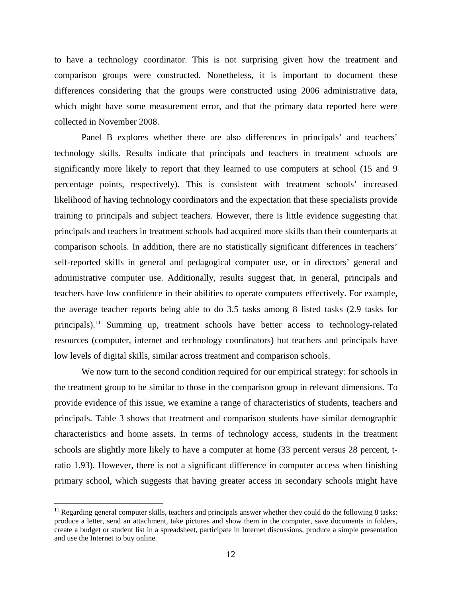to have a technology coordinator. This is not surprising given how the treatment and comparison groups were constructed. Nonetheless, it is important to document these differences considering that the groups were constructed using 2006 administrative data, which might have some measurement error, and that the primary data reported here were collected in November 2008.

Panel B explores whether there are also differences in principals' and teachers' technology skills. Results indicate that principals and teachers in treatment schools are significantly more likely to report that they learned to use computers at school (15 and 9 percentage points, respectively). This is consistent with treatment schools' increased likelihood of having technology coordinators and the expectation that these specialists provide training to principals and subject teachers. However, there is little evidence suggesting that principals and teachers in treatment schools had acquired more skills than their counterparts at comparison schools. In addition, there are no statistically significant differences in teachers' self-reported skills in general and pedagogical computer use, or in directors' general and administrative computer use. Additionally, results suggest that, in general, principals and teachers have low confidence in their abilities to operate computers effectively. For example, the average teacher reports being able to do 3.5 tasks among 8 listed tasks (2.9 tasks for principals).[11](#page-11-1) Summing up, treatment schools have better access to technology-related resources (computer, internet and technology coordinators) but teachers and principals have low levels of digital skills, similar across treatment and comparison schools.

We now turn to the second condition required for our empirical strategy: for schools in the treatment group to be similar to those in the comparison group in relevant dimensions. To provide evidence of this issue, we examine a range of characteristics of students, teachers and principals. Table 3 shows that treatment and comparison students have similar demographic characteristics and home assets. In terms of technology access, students in the treatment schools are slightly more likely to have a computer at home (33 percent versus 28 percent, tratio 1.93). However, there is not a significant difference in computer access when finishing primary school, which suggests that having greater access in secondary schools might have

<span id="page-13-0"></span> $11$  Regarding general computer skills, teachers and principals answer whether they could do the following 8 tasks: produce a letter, send an attachment, take pictures and show them in the computer, save documents in folders, create a budget or student list in a spreadsheet, participate in Internet discussions, produce a simple presentation and use the Internet to buy online.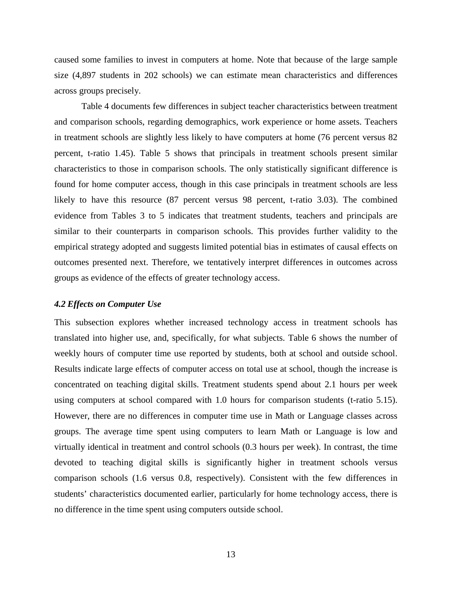caused some families to invest in computers at home. Note that because of the large sample size (4,897 students in 202 schools) we can estimate mean characteristics and differences across groups precisely.

Table 4 documents few differences in subject teacher characteristics between treatment and comparison schools, regarding demographics, work experience or home assets. Teachers in treatment schools are slightly less likely to have computers at home (76 percent versus 82 percent, t-ratio 1.45). Table 5 shows that principals in treatment schools present similar characteristics to those in comparison schools. The only statistically significant difference is found for home computer access, though in this case principals in treatment schools are less likely to have this resource (87 percent versus 98 percent, t-ratio 3.03). The combined evidence from Tables 3 to 5 indicates that treatment students, teachers and principals are similar to their counterparts in comparison schools. This provides further validity to the empirical strategy adopted and suggests limited potential bias in estimates of causal effects on outcomes presented next. Therefore, we tentatively interpret differences in outcomes across groups as evidence of the effects of greater technology access.

#### *4.2 Effects on Computer Use*

This subsection explores whether increased technology access in treatment schools has translated into higher use, and, specifically, for what subjects. Table 6 shows the number of weekly hours of computer time use reported by students, both at school and outside school. Results indicate large effects of computer access on total use at school, though the increase is concentrated on teaching digital skills. Treatment students spend about 2.1 hours per week using computers at school compared with 1.0 hours for comparison students (t-ratio 5.15). However, there are no differences in computer time use in Math or Language classes across groups. The average time spent using computers to learn Math or Language is low and virtually identical in treatment and control schools (0.3 hours per week). In contrast, the time devoted to teaching digital skills is significantly higher in treatment schools versus comparison schools (1.6 versus 0.8, respectively). Consistent with the few differences in students' characteristics documented earlier, particularly for home technology access, there is no difference in the time spent using computers outside school.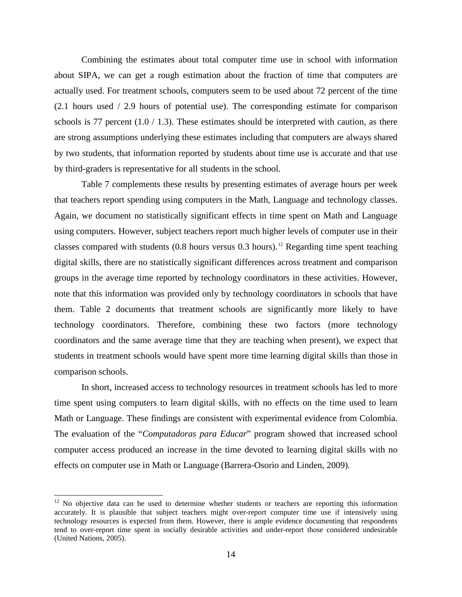Combining the estimates about total computer time use in school with information about SIPA, we can get a rough estimation about the fraction of time that computers are actually used. For treatment schools, computers seem to be used about 72 percent of the time (2.1 hours used / 2.9 hours of potential use). The corresponding estimate for comparison schools is 77 percent  $(1.0 / 1.3)$ . These estimates should be interpreted with caution, as there are strong assumptions underlying these estimates including that computers are always shared by two students, that information reported by students about time use is accurate and that use by third-graders is representative for all students in the school.

Table 7 complements these results by presenting estimates of average hours per week that teachers report spending using computers in the Math, Language and technology classes. Again, we document no statistically significant effects in time spent on Math and Language using computers. However, subject teachers report much higher levels of computer use in their classes compared with students  $(0.8 \text{ hours} \text{ versus } 0.3 \text{ hours})$ .<sup>[12](#page-13-0)</sup> Regarding time spent teaching digital skills, there are no statistically significant differences across treatment and comparison groups in the average time reported by technology coordinators in these activities. However, note that this information was provided only by technology coordinators in schools that have them. Table 2 documents that treatment schools are significantly more likely to have technology coordinators. Therefore, combining these two factors (more technology coordinators and the same average time that they are teaching when present), we expect that students in treatment schools would have spent more time learning digital skills than those in comparison schools.

In short, increased access to technology resources in treatment schools has led to more time spent using computers to learn digital skills, with no effects on the time used to learn Math or Language. These findings are consistent with experimental evidence from Colombia. The evaluation of the "*Computadoras para Educar*" program showed that increased school computer access produced an increase in the time devoted to learning digital skills with no effects on computer use in Math or Language (Barrera-Osorio and Linden, 2009).

<span id="page-15-0"></span> $12$  No objective data can be used to determine whether students or teachers are reporting this information accurately. It is plausible that subject teachers might over-report computer time use if intensively using technology resources is expected from them. However, there is ample evidence documenting that respondents tend to over-report time spent in socially desirable activities and under-report those considered undesirable (United Nations, 2005).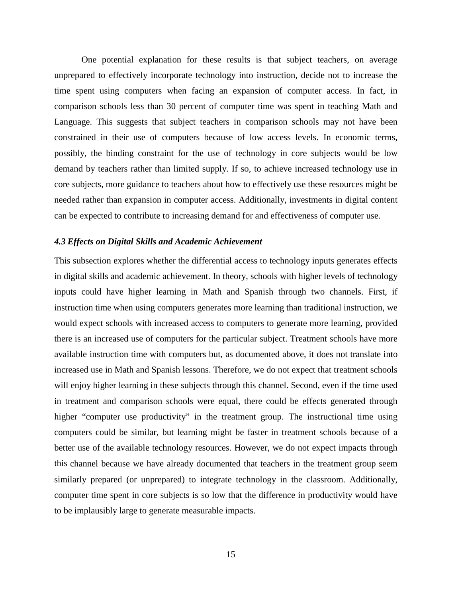One potential explanation for these results is that subject teachers, on average unprepared to effectively incorporate technology into instruction, decide not to increase the time spent using computers when facing an expansion of computer access. In fact, in comparison schools less than 30 percent of computer time was spent in teaching Math and Language. This suggests that subject teachers in comparison schools may not have been constrained in their use of computers because of low access levels. In economic terms, possibly, the binding constraint for the use of technology in core subjects would be low demand by teachers rather than limited supply. If so, to achieve increased technology use in core subjects, more guidance to teachers about how to effectively use these resources might be needed rather than expansion in computer access. Additionally, investments in digital content can be expected to contribute to increasing demand for and effectiveness of computer use.

#### *4.3 Effects on Digital Skills and Academic Achievement*

This subsection explores whether the differential access to technology inputs generates effects in digital skills and academic achievement. In theory, schools with higher levels of technology inputs could have higher learning in Math and Spanish through two channels. First, if instruction time when using computers generates more learning than traditional instruction, we would expect schools with increased access to computers to generate more learning, provided there is an increased use of computers for the particular subject. Treatment schools have more available instruction time with computers but, as documented above, it does not translate into increased use in Math and Spanish lessons. Therefore, we do not expect that treatment schools will enjoy higher learning in these subjects through this channel. Second, even if the time used in treatment and comparison schools were equal, there could be effects generated through higher "computer use productivity" in the treatment group. The instructional time using computers could be similar, but learning might be faster in treatment schools because of a better use of the available technology resources. However, we do not expect impacts through this channel because we have already documented that teachers in the treatment group seem similarly prepared (or unprepared) to integrate technology in the classroom. Additionally, computer time spent in core subjects is so low that the difference in productivity would have to be implausibly large to generate measurable impacts.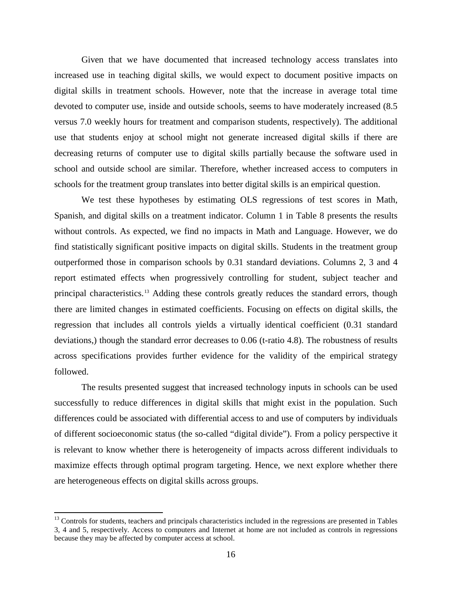Given that we have documented that increased technology access translates into increased use in teaching digital skills, we would expect to document positive impacts on digital skills in treatment schools. However, note that the increase in average total time devoted to computer use, inside and outside schools, seems to have moderately increased (8.5 versus 7.0 weekly hours for treatment and comparison students, respectively). The additional use that students enjoy at school might not generate increased digital skills if there are decreasing returns of computer use to digital skills partially because the software used in school and outside school are similar. Therefore, whether increased access to computers in schools for the treatment group translates into better digital skills is an empirical question.

We test these hypotheses by estimating OLS regressions of test scores in Math, Spanish, and digital skills on a treatment indicator. Column 1 in Table 8 presents the results without controls. As expected, we find no impacts in Math and Language. However, we do find statistically significant positive impacts on digital skills. Students in the treatment group outperformed those in comparison schools by 0.31 standard deviations. Columns 2, 3 and 4 report estimated effects when progressively controlling for student, subject teacher and principal characteristics.<sup>[13](#page-15-0)</sup> Adding these controls greatly reduces the standard errors, though there are limited changes in estimated coefficients. Focusing on effects on digital skills, the regression that includes all controls yields a virtually identical coefficient (0.31 standard deviations,) though the standard error decreases to 0.06 (t-ratio 4.8). The robustness of results across specifications provides further evidence for the validity of the empirical strategy followed.

The results presented suggest that increased technology inputs in schools can be used successfully to reduce differences in digital skills that might exist in the population. Such differences could be associated with differential access to and use of computers by individuals of different socioeconomic status (the so-called "digital divide"). From a policy perspective it is relevant to know whether there is heterogeneity of impacts across different individuals to maximize effects through optimal program targeting. Hence, we next explore whether there are heterogeneous effects on digital skills across groups.

 $<sup>13</sup>$  Controls for students, teachers and principals characteristics included in the regressions are presented in Tables</sup> 3, 4 and 5, respectively. Access to computers and Internet at home are not included as controls in regressions because they may be affected by computer access at school.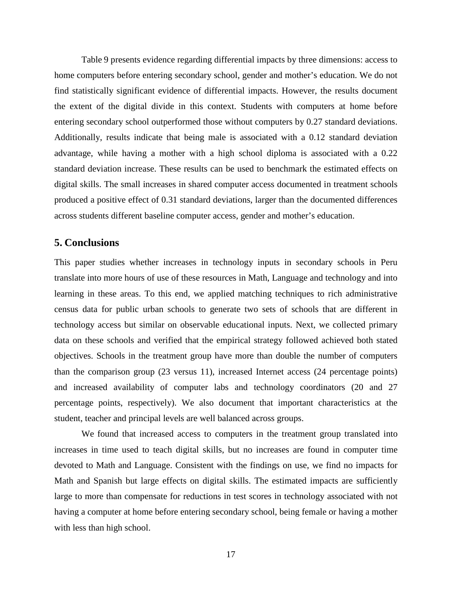Table 9 presents evidence regarding differential impacts by three dimensions: access to home computers before entering secondary school, gender and mother's education. We do not find statistically significant evidence of differential impacts. However, the results document the extent of the digital divide in this context. Students with computers at home before entering secondary school outperformed those without computers by 0.27 standard deviations. Additionally, results indicate that being male is associated with a 0.12 standard deviation advantage, while having a mother with a high school diploma is associated with a 0.22 standard deviation increase. These results can be used to benchmark the estimated effects on digital skills. The small increases in shared computer access documented in treatment schools produced a positive effect of 0.31 standard deviations, larger than the documented differences across students different baseline computer access, gender and mother's education.

#### **5. Conclusions**

This paper studies whether increases in technology inputs in secondary schools in Peru translate into more hours of use of these resources in Math, Language and technology and into learning in these areas. To this end, we applied matching techniques to rich administrative census data for public urban schools to generate two sets of schools that are different in technology access but similar on observable educational inputs. Next, we collected primary data on these schools and verified that the empirical strategy followed achieved both stated objectives. Schools in the treatment group have more than double the number of computers than the comparison group (23 versus 11), increased Internet access (24 percentage points) and increased availability of computer labs and technology coordinators (20 and 27 percentage points, respectively). We also document that important characteristics at the student, teacher and principal levels are well balanced across groups.

We found that increased access to computers in the treatment group translated into increases in time used to teach digital skills, but no increases are found in computer time devoted to Math and Language. Consistent with the findings on use, we find no impacts for Math and Spanish but large effects on digital skills. The estimated impacts are sufficiently large to more than compensate for reductions in test scores in technology associated with not having a computer at home before entering secondary school, being female or having a mother with less than high school.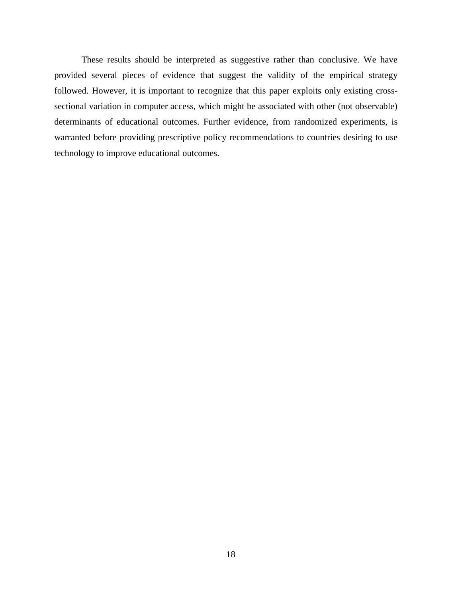These results should be interpreted as suggestive rather than conclusive. We have provided several pieces of evidence that suggest the validity of the empirical strategy followed. However, it is important to recognize that this paper exploits only existing crosssectional variation in computer access, which might be associated with other (not observable) determinants of educational outcomes. Further evidence, from randomized experiments, is warranted before providing prescriptive policy recommendations to countries desiring to use technology to improve educational outcomes.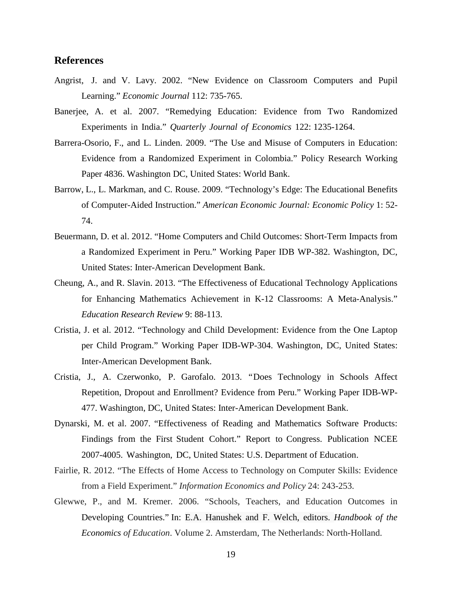#### **References**

- Angrist, J. and V. Lavy. 2002. "New Evidence on Classroom Computers and Pupil Learning." *Economic Journal* 112: 735-765.
- Banerjee, A. et al. 2007. "Remedying Education: Evidence from Two Randomized Experiments in India." *Quarterly Journal of Economics* 122: 1235-1264.
- Barrera-Osorio, F., and L. Linden. 2009. "The Use and Misuse of Computers in Education: Evidence from a Randomized Experiment in Colombia." Policy Research Working Paper 4836. Washington DC, United States: World Bank.
- Barrow, L., L. Markman, and C. Rouse. 2009. "Technology's Edge: The Educational Benefits of Computer-Aided Instruction." *American Economic Journal: Economic Policy* 1: 52- 74.
- Beuermann, D. et al. 2012. "Home Computers and Child Outcomes: Short-Term Impacts from a Randomized Experiment in Peru." Working Paper IDB WP-382. Washington, DC, United States: Inter-American Development Bank.
- Cheung, A., and R. Slavin. 2013. "The Effectiveness of Educational Technology Applications for Enhancing Mathematics Achievement in K-12 Classrooms: A Meta-Analysis." *Education Research Review* 9: 88-113.
- Cristia, J. et al. 2012. "Technology and Child Development: Evidence from the One Laptop per Child Program." Working Paper IDB-WP-304. Washington, DC, United States: Inter-American Development Bank.
- Cristia, J., A. Czerwonko, P. Garofalo. 2013. "Does Technology in Schools Affect Repetition, Dropout and Enrollment? Evidence from Peru." Working Paper IDB-WP-477. Washington, DC, United States: Inter-American Development Bank.
- Dynarski, M. et al. 2007. "Effectiveness of Reading and Mathematics Software Products: Findings from the First Student Cohort." Report to Congress. Publication NCEE 2007-4005. Washington, DC, United States: U.S. Department of Education.
- Fairlie, R. 2012. "The Effects of Home Access to Technology on Computer Skills: Evidence from a Field Experiment." *Information Economics and Policy* 24: 243-253.
- Glewwe, P., and M. Kremer. 2006. "Schools, Teachers, and Education Outcomes in Developing Countries." In: E.A. Hanushek and F. Welch, editors. *Handbook of the Economics of Education*. Volume 2. Amsterdam, The Netherlands: North-Holland.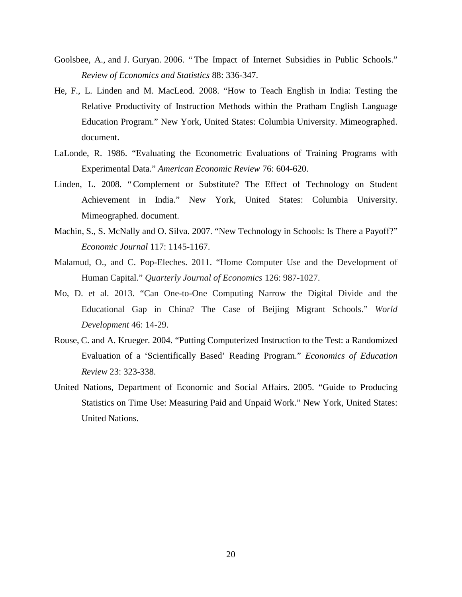- Goolsbee, A., and J. Guryan. 2006. " The Impact of Internet Subsidies in Public Schools." *Review of Economics and Statistics* 88: 336-347.
- He, F., L. Linden and M. MacLeod. 2008. "How to Teach English in India: Testing the Relative Productivity of Instruction Methods within the Pratham English Language Education Program." New York, United States: Columbia University. Mimeographed. document.
- LaLonde, R. 1986. "Evaluating the Econometric Evaluations of Training Programs with Experimental Data." *American Economic Review* 76: 604-620.
- Linden, L. 2008. "Complement or Substitute? The Effect of Technology on Student Achievement in India." New York, United States: Columbia University. Mimeographed. document.
- Machin, S., S. McNally and O. Silva. 2007. "New Technology in Schools: Is There a Payoff?" *Economic Journal* 117: 1145-1167.
- Malamud, O., and C. Pop-Eleches. 2011. "Home Computer Use and the Development of Human Capital." *Quarterly Journal of Economics* 126: 987-1027.
- Mo, D. et al. 2013. "Can One-to-One Computing Narrow the Digital Divide and the Educational Gap in China? The Case of Beijing Migrant Schools." *World Development* 46: 14-29.
- Rouse, C. and A. Krueger. 2004. "Putting Computerized Instruction to the Test: a Randomized Evaluation of a 'Scientifically Based' Reading Program." *Economics of Education Review* 23: 323-338.
- United Nations, Department of Economic and Social Affairs. 2005. "Guide to Producing Statistics on Time Use: Measuring Paid and Unpaid Work." New York, United States: United Nations.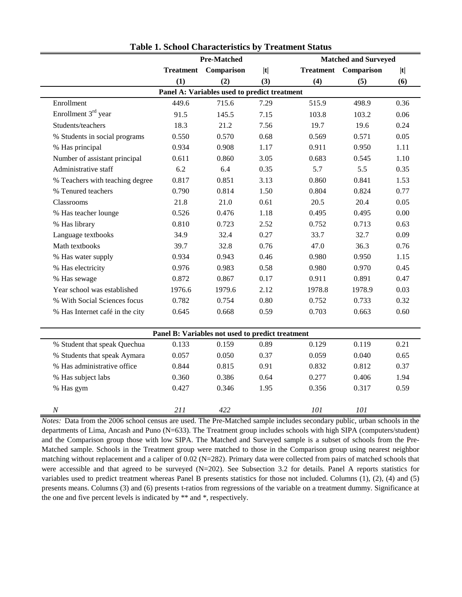|                                                  | <b>Pre-Matched</b> |                                              |      |                  | <b>Matched and Surveyed</b> |          |
|--------------------------------------------------|--------------------|----------------------------------------------|------|------------------|-----------------------------|----------|
|                                                  | <b>Treatment</b>   | Comparison                                   | t    | <b>Treatment</b> | Comparison                  | t        |
|                                                  | (1)                | (2)                                          | (3)  | (4)              | (5)                         | (6)      |
|                                                  |                    | Panel A: Variables used to predict treatment |      |                  |                             |          |
| Enrollment                                       | 449.6              | 715.6                                        | 7.29 | 515.9            | 498.9                       | 0.36     |
| Enrollment 3 <sup>rd</sup> year                  | 91.5               | 145.5                                        | 7.15 | 103.8            | 103.2                       | 0.06     |
| Students/teachers                                | 18.3               | 21.2                                         | 7.56 | 19.7             | 19.6                        | 0.24     |
| % Students in social programs                    | 0.550              | 0.570                                        | 0.68 | 0.569            | 0.571                       | 0.05     |
| % Has principal                                  | 0.934              | 0.908                                        | 1.17 | 0.911            | 0.950                       | 1.11     |
| Number of assistant principal                    | 0.611              | 0.860                                        | 3.05 | 0.683            | 0.545                       | 1.10     |
| Administrative staff                             | $6.2\,$            | 6.4                                          | 0.35 | 5.7              | 5.5                         | 0.35     |
| % Teachers with teaching degree                  | 0.817              | 0.851                                        | 3.13 | 0.860            | 0.841                       | 1.53     |
| % Tenured teachers                               | 0.790              | 0.814                                        | 1.50 | 0.804            | 0.824                       | 0.77     |
| Classrooms                                       | 21.8               | 21.0                                         | 0.61 | 20.5             | 20.4                        | 0.05     |
| % Has teacher lounge                             | 0.526              | 0.476                                        | 1.18 | 0.495            | 0.495                       | $0.00\,$ |
| % Has library                                    | 0.810              | 0.723                                        | 2.52 | 0.752            | 0.713                       | 0.63     |
| Language textbooks                               | 34.9               | 32.4                                         | 0.27 | 33.7             | 32.7                        | 0.09     |
| Math textbooks                                   | 39.7               | 32.8                                         | 0.76 | 47.0             | 36.3                        | 0.76     |
| % Has water supply                               | 0.934              | 0.943                                        | 0.46 | 0.980            | 0.950                       | 1.15     |
| % Has electricity                                | 0.976              | 0.983                                        | 0.58 | 0.980            | 0.970                       | 0.45     |
| % Has sewage                                     | 0.872              | 0.867                                        | 0.17 | 0.911            | 0.891                       | 0.47     |
| Year school was established                      | 1976.6             | 1979.6                                       | 2.12 | 1978.8           | 1978.9                      | 0.03     |
| % With Social Sciences focus                     | 0.782              | 0.754                                        | 0.80 | 0.752            | 0.733                       | 0.32     |
| % Has Internet café in the city                  | 0.645              | 0.668                                        | 0.59 | 0.703            | 0.663                       | 0.60     |
|                                                  |                    |                                              |      |                  |                             |          |
| Panel B: Variables not used to predict treatment |                    |                                              |      |                  |                             |          |
| % Student that speak Quechua                     | 0.133              | 0.159                                        | 0.89 | 0.129            | 0.119                       | 0.21     |
| % Students that speak Aymara                     | 0.057              | 0.050                                        | 0.37 | 0.059            | 0.040                       | 0.65     |
| % Has administrative office                      | 0.844              | 0.815                                        | 0.91 | 0.832            | 0.812                       | 0.37     |
| % Has subject labs                               | 0.360              | 0.386                                        | 0.64 | 0.277            | 0.406                       | 1.94     |
| % Has gym                                        | 0.427              | 0.346                                        | 1.95 | 0.356            | 0.317                       | 0.59     |
|                                                  |                    |                                              |      |                  |                             |          |
| $\cal N$                                         | 211                | 422                                          |      | 101              | 101                         |          |

**Table 1. School Characteristics by Treatment Status**

*Notes:* Data from the 2006 school census are used. The Pre-Matched sample includes secondary public, urban schools in the departments of Lima, Ancash and Puno (N=633). The Treatment group includes schools with high SIPA (computers/student) and the Comparison group those with low SIPA. The Matched and Surveyed sample is a subset of schools from the Pre-Matched sample. Schools in the Treatment group were matched to those in the Comparison group using nearest neighbor matching without replacement and a caliper of 0.02 (N=282). Primary data were collected from pairs of matched schools that were accessible and that agreed to be surveyed (N=202). See Subsection 3.2 for details. Panel A reports statistics for variables used to predict treatment whereas Panel B presents statistics for those not included. Columns (1), (2), (4) and (5) presents means. Columns (3) and (6) presents t-ratios from regressions of the variable on a treatment dummy. Significance at the one and five percent levels is indicated by \*\* and \*, respectively.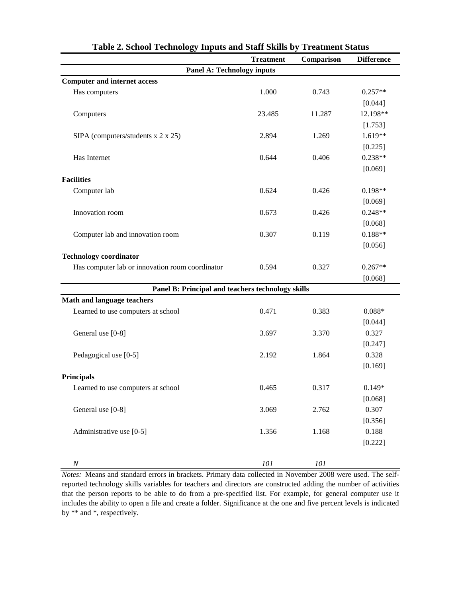|                                                   | <b>Treatment</b> | Comparison | <b>Difference</b> |
|---------------------------------------------------|------------------|------------|-------------------|
| <b>Panel A: Technology inputs</b>                 |                  |            |                   |
| <b>Computer and internet access</b>               |                  |            |                   |
| Has computers                                     | 1.000            | 0.743      | $0.257**$         |
|                                                   |                  |            | [0.044]           |
| Computers                                         | 23.485           | 11.287     | 12.198**          |
|                                                   |                  |            | [1.753]           |
| SIPA (computers/students x 2 x 25)                | 2.894            | 1.269      | $1.619**$         |
|                                                   |                  |            | [0.225]           |
| Has Internet                                      | 0.644            | 0.406      | $0.238**$         |
|                                                   |                  |            | [0.069]           |
| <b>Facilities</b>                                 |                  |            |                   |
| Computer lab                                      | 0.624            | 0.426      | $0.198**$         |
|                                                   |                  |            | [0.069]           |
| Innovation room                                   | 0.673            | 0.426      | $0.248**$         |
|                                                   |                  |            | [0.068]           |
| Computer lab and innovation room                  | 0.307            | 0.119      | $0.188**$         |
|                                                   |                  |            | [0.056]           |
| <b>Technology coordinator</b>                     |                  |            |                   |
| Has computer lab or innovation room coordinator   | 0.594            | 0.327      | $0.267**$         |
|                                                   |                  |            | [0.068]           |
| Panel B: Principal and teachers technology skills |                  |            |                   |
| Math and language teachers                        |                  |            |                   |
| Learned to use computers at school                | 0.471            | 0.383      | $0.088*$          |
|                                                   |                  |            | [0.044]           |
| General use [0-8]                                 | 3.697            | 3.370      | 0.327             |
|                                                   |                  |            | [0.247]           |
| Pedagogical use [0-5]                             | 2.192            | 1.864      | 0.328             |
|                                                   |                  |            | [0.169]           |
| <b>Principals</b>                                 |                  |            |                   |
| Learned to use computers at school                | 0.465            | 0.317      | $0.149*$          |
|                                                   |                  |            | [0.068]           |
| General use [0-8]                                 | 3.069            | 2.762      | 0.307             |
|                                                   |                  |            | [0.356]           |
| Administrative use [0-5]                          | 1.356            | 1.168      | 0.188             |
|                                                   |                  |            | [0.222]           |
|                                                   |                  |            |                   |
| $\boldsymbol{N}$                                  | ${\it 101}$      | 101        |                   |

**Table 2. School Technology Inputs and Staff Skills by Treatment Status**

*Notes:* Means and standard errors in brackets. Primary data collected in November 2008 were used. The selfreported technology skills variables for teachers and directors are constructed adding the number of activities that the person reports to be able to do from a pre-specified list. For example, for general computer use it includes the ability to open a file and create a folder. Significance at the one and five percent levels is indicated by \*\* and \*, respectively.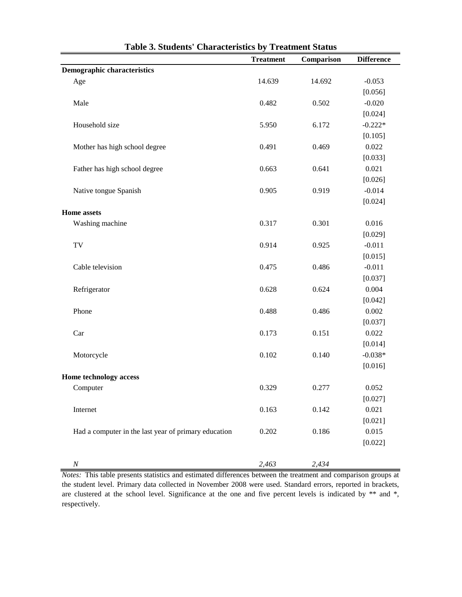|                                                      | <b>Treatment</b> | Comparison | <b>Difference</b> |
|------------------------------------------------------|------------------|------------|-------------------|
| <b>Demographic characteristics</b>                   |                  |            |                   |
| Age                                                  | 14.639           | 14.692     | $-0.053$          |
|                                                      |                  |            | [0.056]           |
| Male                                                 | 0.482            | 0.502      | $-0.020$          |
|                                                      |                  |            | [0.024]           |
| Household size                                       | 5.950            | 6.172      | $-0.222*$         |
|                                                      |                  |            | [0.105]           |
| Mother has high school degree                        | 0.491            | 0.469      | 0.022             |
|                                                      |                  |            | [0.033]           |
| Father has high school degree                        | 0.663            | 0.641      | 0.021             |
|                                                      |                  |            | [0.026]           |
| Native tongue Spanish                                | 0.905            | 0.919      | $-0.014$          |
|                                                      |                  |            | [0.024]           |
| <b>Home</b> assets                                   |                  |            |                   |
| Washing machine                                      | 0.317            | 0.301      | 0.016             |
|                                                      |                  |            | [0.029]           |
| TV                                                   | 0.914            | 0.925      | $-0.011$          |
|                                                      |                  |            | [0.015]           |
| Cable television                                     | 0.475            | 0.486      | $-0.011$          |
|                                                      |                  |            | [0.037]           |
| Refrigerator                                         | 0.628            | 0.624      | 0.004             |
|                                                      |                  |            | [0.042]           |
| Phone                                                | 0.488            | 0.486      | 0.002             |
|                                                      |                  |            | [0.037]           |
| Car                                                  | 0.173            | 0.151      | 0.022             |
|                                                      |                  |            | [0.014]           |
| Motorcycle                                           | 0.102            | 0.140      | $-0.038*$         |
|                                                      |                  |            | [0.016]           |
| Home technology access                               |                  |            |                   |
| Computer                                             | 0.329            | 0.277      | 0.052             |
|                                                      |                  |            | [0.027]           |
| Internet                                             | 0.163            | 0.142      | 0.021             |
|                                                      |                  |            | [0.021]           |
| Had a computer in the last year of primary education | 0.202            | 0.186      | 0.015             |
|                                                      |                  |            | [0.022]           |
|                                                      |                  |            |                   |
| $\cal N$                                             | 2,463            | 2,434      |                   |

| Table 3. Students' Characteristics by Treatment Status |  |  |  |  |
|--------------------------------------------------------|--|--|--|--|
|--------------------------------------------------------|--|--|--|--|

*Notes:* This table presents statistics and estimated differences between the treatment and comparison groups at the student level. Primary data collected in November 2008 were used. Standard errors, reported in brackets, are clustered at the school level. Significance at the one and five percent levels is indicated by \*\* and \*, respectively.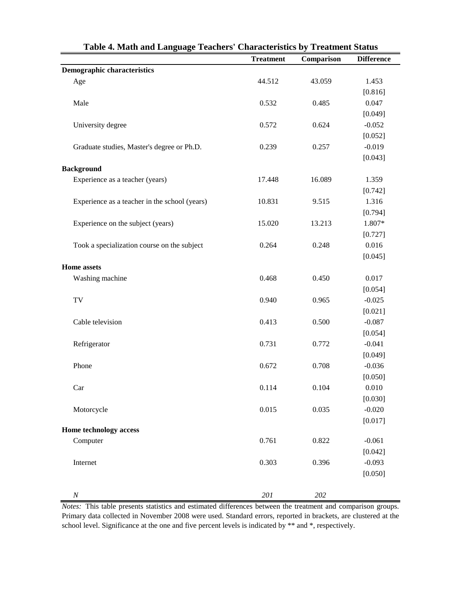| Table 4. Math and Language Teachers' Characteristics by Treatment Status |                  |            |                   |  |
|--------------------------------------------------------------------------|------------------|------------|-------------------|--|
|                                                                          | <b>Treatment</b> | Comparison | <b>Difference</b> |  |
| <b>Demographic characteristics</b>                                       |                  |            |                   |  |
| Age                                                                      | 44.512           | 43.059     | 1.453             |  |
|                                                                          |                  |            | [0.816]           |  |
| Male                                                                     | 0.532            | 0.485      | 0.047             |  |
|                                                                          |                  |            | [0.049]           |  |
| University degree                                                        | 0.572            | 0.624      | $-0.052$          |  |
|                                                                          |                  |            | [0.052]           |  |
| Graduate studies, Master's degree or Ph.D.                               | 0.239            | 0.257      | $-0.019$          |  |
|                                                                          |                  |            | [0.043]           |  |
| <b>Background</b>                                                        |                  |            |                   |  |
| Experience as a teacher (years)                                          | 17.448           | 16.089     | 1.359             |  |
|                                                                          |                  |            | [0.742]           |  |
| Experience as a teacher in the school (years)                            | 10.831           | 9.515      | 1.316             |  |
|                                                                          |                  |            | [0.794]           |  |
| Experience on the subject (years)                                        | 15.020           | 13.213     | 1.807*            |  |
|                                                                          |                  |            | [0.727]           |  |
| Took a specialization course on the subject                              | 0.264            | 0.248      | 0.016             |  |
|                                                                          |                  |            | [0.045]           |  |
| <b>Home</b> assets                                                       |                  |            |                   |  |
| Washing machine                                                          | 0.468            | 0.450      | 0.017             |  |
|                                                                          |                  |            | [0.054]           |  |
| TV                                                                       | 0.940            | 0.965      | $-0.025$          |  |
|                                                                          |                  |            | [0.021]           |  |
| Cable television                                                         | 0.413            | 0.500      | $-0.087$          |  |
|                                                                          |                  |            | [0.054]           |  |
| Refrigerator                                                             | 0.731            | 0.772      | $-0.041$          |  |
|                                                                          |                  |            | [0.049]           |  |
| Phone                                                                    | 0.672            | 0.708      | $-0.036$          |  |
|                                                                          |                  |            | [0.050]           |  |
| Car                                                                      | 0.114            | 0.104      | 0.010             |  |
|                                                                          |                  |            | [0.030]           |  |
| Motorcycle                                                               | 0.015            | 0.035      | $-0.020$          |  |
|                                                                          |                  |            | [0.017]           |  |
| Home technology access                                                   |                  |            |                   |  |
| Computer                                                                 | 0.761            | 0.822      | $-0.061$          |  |
|                                                                          |                  |            | [0.042]           |  |
| Internet                                                                 | 0.303            | 0.396      | $-0.093$          |  |
|                                                                          |                  |            | [0.050]           |  |
|                                                                          |                  |            |                   |  |
| $\cal N$                                                                 | $201\,$          | 202        |                   |  |

*Notes:* This table presents statistics and estimated differences between the treatment and comparison groups. Primary data collected in November 2008 were used. Standard errors, reported in brackets, are clustered at the school level. Significance at the one and five percent levels is indicated by \*\* and \*, respectively.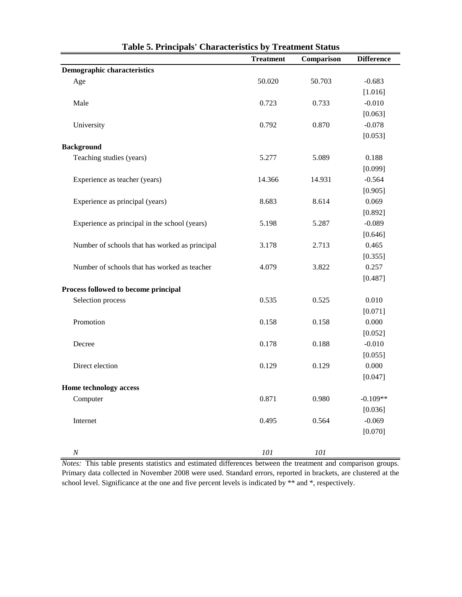|                                                | <b>Treatment</b> | Comparison  | <b>Difference</b> |
|------------------------------------------------|------------------|-------------|-------------------|
| <b>Demographic characteristics</b>             |                  |             |                   |
| Age                                            | 50.020           | 50.703      | $-0.683$          |
|                                                |                  |             | [1.016]           |
| Male                                           | 0.723            | 0.733       | $-0.010$          |
|                                                |                  |             | [0.063]           |
| University                                     | 0.792            | 0.870       | $-0.078$          |
|                                                |                  |             | [0.053]           |
| <b>Background</b>                              |                  |             |                   |
| Teaching studies (years)                       | 5.277            | 5.089       | 0.188             |
|                                                |                  |             | [0.099]           |
| Experience as teacher (years)                  | 14.366           | 14.931      | $-0.564$          |
|                                                |                  |             | [0.905]           |
| Experience as principal (years)                | 8.683            | 8.614       | 0.069             |
|                                                |                  |             | [0.892]           |
| Experience as principal in the school (years)  | 5.198            | 5.287       | $-0.089$          |
|                                                |                  |             | [0.646]           |
| Number of schools that has worked as principal | 3.178            | 2.713       | 0.465             |
|                                                |                  |             | [0.355]           |
| Number of schools that has worked as teacher   | 4.079            | 3.822       | 0.257             |
|                                                |                  |             | [0.487]           |
| Process followed to become principal           |                  |             |                   |
| Selection process                              | 0.535            | 0.525       | 0.010             |
|                                                |                  |             | [0.071]           |
| Promotion                                      | 0.158            | 0.158       | 0.000             |
|                                                |                  |             | [0.052]           |
| Decree                                         | 0.178            | 0.188       | $-0.010$          |
|                                                |                  |             | [0.055]           |
| Direct election                                | 0.129            | 0.129       | 0.000             |
|                                                |                  |             | [0.047]           |
| Home technology access                         |                  |             |                   |
| Computer                                       | 0.871            | 0.980       | $-0.109**$        |
|                                                |                  |             | [0.036]           |
| Internet                                       | 0.495            | 0.564       | $-0.069$          |
|                                                |                  |             | [0.070]           |
|                                                |                  |             |                   |
| $\cal N$                                       | ${\it 101}$      | ${\it 101}$ |                   |

**Table 5. Principals' Characteristics by Treatment Status**

*Notes:* This table presents statistics and estimated differences between the treatment and comparison groups. Primary data collected in November 2008 were used. Standard errors, reported in brackets, are clustered at the school level. Significance at the one and five percent levels is indicated by \*\* and \*, respectively.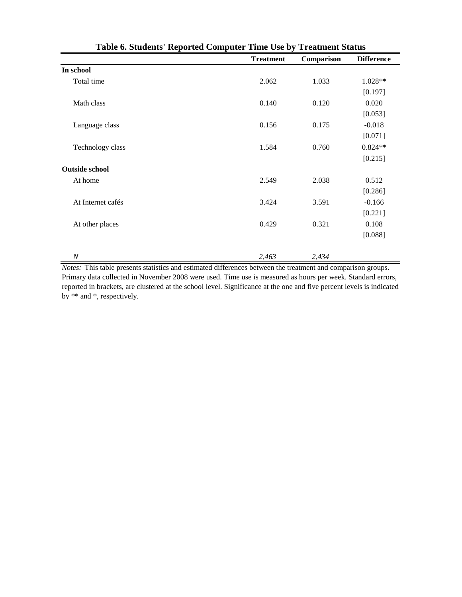|                       | <b>Treatment</b> | Comparison | <b>Difference</b> |
|-----------------------|------------------|------------|-------------------|
| In school             |                  |            |                   |
| Total time            | 2.062            | 1.033      | 1.028**           |
|                       |                  |            | [0.197]           |
| Math class            | 0.140            | 0.120      | 0.020             |
|                       |                  |            | [0.053]           |
| Language class        | 0.156            | 0.175      | $-0.018$          |
|                       |                  |            | [0.071]           |
| Technology class      | 1.584            | 0.760      | $0.824**$         |
|                       |                  |            | [0.215]           |
| <b>Outside school</b> |                  |            |                   |
| At home               | 2.549            | 2.038      | 0.512             |
|                       |                  |            | [0.286]           |
| At Internet cafés     | 3.424            | 3.591      | $-0.166$          |
|                       |                  |            | [0.221]           |
| At other places       | 0.429            | 0.321      | 0.108             |
|                       |                  |            | [0.088]           |
|                       |                  |            |                   |
| $\boldsymbol{N}$      | 2,463            | 2,434      |                   |

*Notes:* This table presents statistics and estimated differences between the treatment and comparison groups. Primary data collected in November 2008 were used. Time use is measured as hours per week. Standard errors, reported in brackets, are clustered at the school level. Significance at the one and five percent levels is indicated by \*\* and \*, respectively.

| Table 6. Students' Reported Computer Time Use by Treatment Status |  |  |  |
|-------------------------------------------------------------------|--|--|--|
|-------------------------------------------------------------------|--|--|--|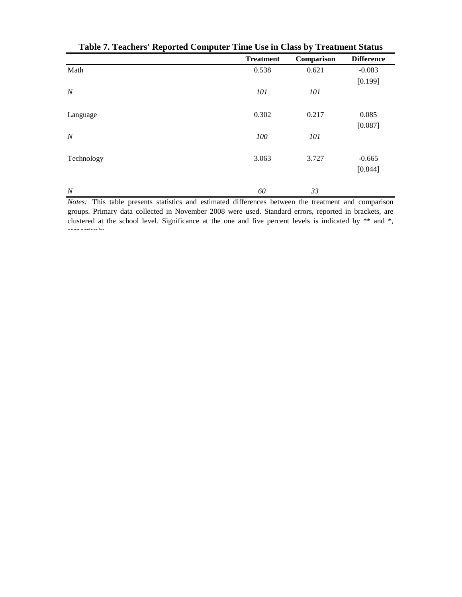|                  | <b>Treatment</b> | Comparison | <b>Difference</b> |
|------------------|------------------|------------|-------------------|
| Math             | 0.538            | 0.621      | $-0.083$          |
|                  |                  |            | [0.199]           |
| $\boldsymbol{N}$ | 101              | 101        |                   |
| Language         | 0.302            | 0.217      | 0.085             |
|                  |                  |            | [0.087]           |
| $\boldsymbol{N}$ | 100              | 101        |                   |
| Technology       | 3.063            | 3.727      | $-0.665$          |
|                  |                  |            | [0.844]           |
| $\overline{N}$   | 60               | 33         |                   |

**Table 7. Teachers' Reported Computer Time Use in Class by Treatment Status**

*Notes:* This table presents statistics and estimated differences between the treatment and comparison groups. Primary data collected in November 2008 were used. Standard errors, reported in brackets, are clustered at the school level. Significance at the one and five percent levels is indicated by \*\* and \*, respectively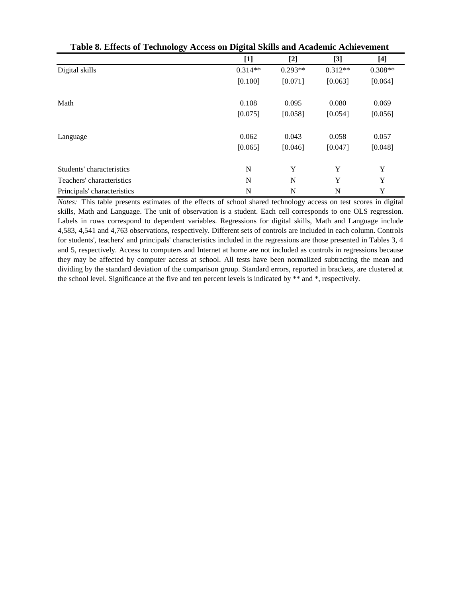|                             | $[1]$       | $[2]$     | $[3]$     | $[4]$     |
|-----------------------------|-------------|-----------|-----------|-----------|
| Digital skills              | $0.314**$   | $0.293**$ | $0.312**$ | $0.308**$ |
|                             | [0.100]     | [0.071]   | [0.063]   | [0.064]   |
| Math                        | 0.108       | 0.095     | 0.080     | 0.069     |
|                             | [0.075]     | [0.058]   | [0.054]   | [0.056]   |
| Language                    | 0.062       | 0.043     | 0.058     | 0.057     |
|                             | [0.065]     | [0.046]   | [0.047]   | [0.048]   |
| Students' characteristics   | $\mathbf N$ | Y         | Y         | Y         |
| Teachers' characteristics   | N           | N         | Y         | Y         |
| Principals' characteristics | N           | N         | N         | Y         |

| Table 8. Effects of Technology Access on Digital Skills and Academic Achievement |
|----------------------------------------------------------------------------------|
|----------------------------------------------------------------------------------|

*Notes:* This table presents estimates of the effects of school shared technology access on test scores in digital skills, Math and Language. The unit of observation is a student. Each cell corresponds to one OLS regression. Labels in rows correspond to dependent variables. Regressions for digital skills, Math and Language include 4,583, 4,541 and 4,763 observations, respectively. Different sets of controls are included in each column. Controls for students', teachers' and principals' characteristics included in the regressions are those presented in Tables 3, 4 and 5, respectively. Access to computers and Internet at home are not included as controls in regressions because they may be affected by computer access at school. All tests have been normalized subtracting the mean and dividing by the standard deviation of the comparison group. Standard errors, reported in brackets, are clustered at the school level. Significance at the five and ten percent levels is indicated by \*\* and \*, respectively.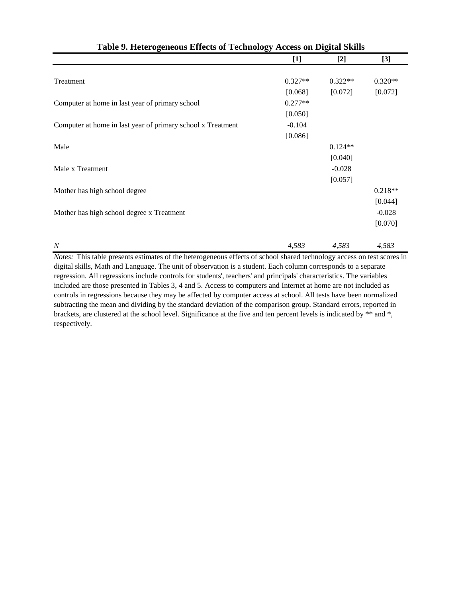| Table 9. Heterogeneous Effects of Technology Access on Digital Skills |           |           |           |  |
|-----------------------------------------------------------------------|-----------|-----------|-----------|--|
|                                                                       | $[1]$     | $[2]$     | $[3]$     |  |
|                                                                       |           |           |           |  |
| Treatment                                                             | $0.327**$ | $0.322**$ | $0.320**$ |  |
|                                                                       | [0.068]   | [0.072]   | [0.072]   |  |
| Computer at home in last year of primary school                       | $0.277**$ |           |           |  |
|                                                                       | [0.050]   |           |           |  |
| Computer at home in last year of primary school x Treatment           | $-0.104$  |           |           |  |
|                                                                       | [0.086]   |           |           |  |
| Male                                                                  |           | $0.124**$ |           |  |
|                                                                       |           | [0.040]   |           |  |
| Male x Treatment                                                      |           | $-0.028$  |           |  |
|                                                                       |           | [0.057]   |           |  |
| Mother has high school degree                                         |           |           | $0.218**$ |  |
|                                                                       |           |           | [0.044]   |  |
| Mother has high school degree x Treatment                             |           |           | $-0.028$  |  |
|                                                                       |           |           | [0.070]   |  |
|                                                                       |           |           |           |  |
| $\boldsymbol{N}$                                                      | 4,583     | 4,583     | 4,583     |  |

*Notes:* This table presents estimates of the heterogeneous effects of school shared technology access on test scores in digital skills, Math and Language. The unit of observation is a student. Each column corresponds to a separate regression. All regressions include controls for students', teachers' and principals' characteristics. The variables included are those presented in Tables 3, 4 and 5. Access to computers and Internet at home are not included as controls in regressions because they may be affected by computer access at school. All tests have been normalized subtracting the mean and dividing by the standard deviation of the comparison group. Standard errors, reported in brackets, are clustered at the school level. Significance at the five and ten percent levels is indicated by \*\* and \*, respectively.